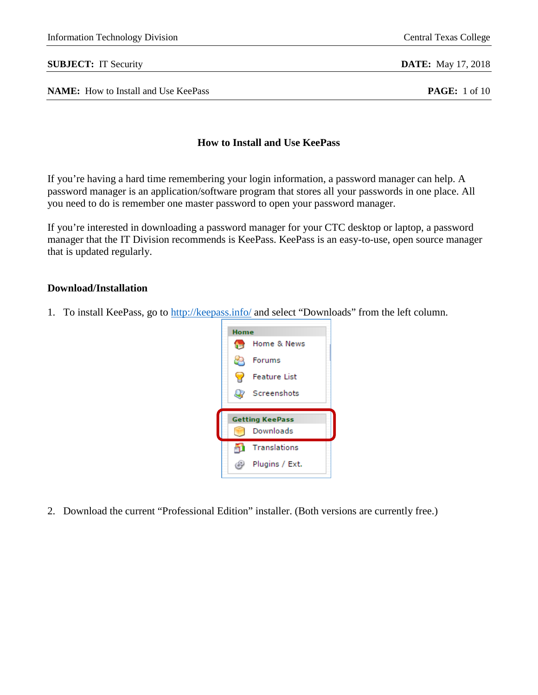### **SUBJECT:** IT Security **DATE:** May 17, 2018

**NAME:** How to Install and Use KeePass **PAGE:** 1 of 10

## **How to Install and Use KeePass**

If you're having a hard time remembering your login information, a password manager can help. A password manager is an application/software program that stores all your passwords in one place. All you need to do is remember one master password to open your password manager.

If you're interested in downloading a password manager for your CTC desktop or laptop, a password manager that the IT Division recommends is KeePass. KeePass is an easy-to-use, open source manager that is updated regularly.

## **Download/Installation**

1. To install KeePass, go to<http://keepass.info/> and select "Downloads" from the left column.



2. Download the current "Professional Edition" installer. (Both versions are currently free.)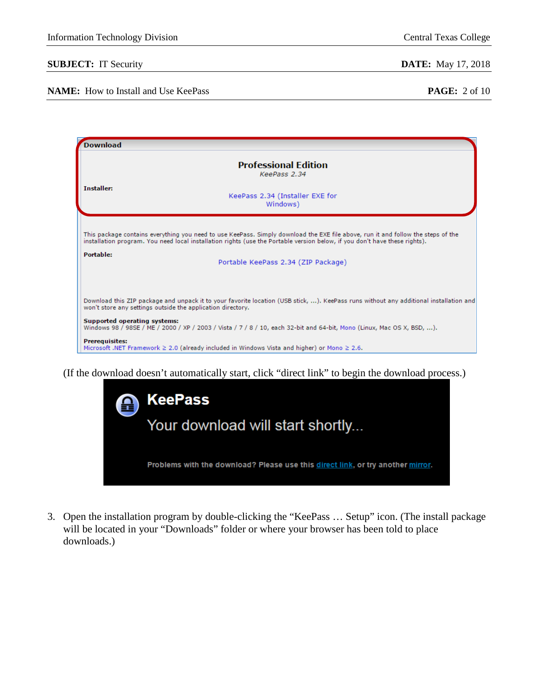### **NAME:** How to Install and Use KeePass **PAGE:** 2 of 10

| Download                     |                                                                                                                                                                                                                                                                |
|------------------------------|----------------------------------------------------------------------------------------------------------------------------------------------------------------------------------------------------------------------------------------------------------------|
|                              | <b>Professional Edition</b><br>KeePass 2.34                                                                                                                                                                                                                    |
| <b>Installer:</b>            | KeePass 2.34 (Installer EXE for<br>Windows)                                                                                                                                                                                                                    |
|                              | This package contains everything you need to use KeePass. Simply download the EXE file above, run it and follow the steps of the<br>installation program. You need local installation rights (use the Portable version below, if you don't have these rights). |
| <b>Portable:</b>             | Portable KeePass 2.34 (ZIP Package)                                                                                                                                                                                                                            |
|                              | Download this ZIP package and unpack it to your favorite location (USB stick, ). KeePass runs without any additional installation and<br>won't store any settings outside the application directory.                                                           |
| Supported operating systems: | Windows 98 / 98SE / ME / 2000 / XP / 2003 / Vista / 7 / 8 / 10, each 32-bit and 64-bit, Mono (Linux, Mac OS X, BSD, ).                                                                                                                                         |
| <b>Prerequisites:</b>        | Microsoft .NET Framework $\geq 2.0$ (already included in Windows Vista and higher) or Mono $\geq 2.6$ .                                                                                                                                                        |

(If the download doesn't automatically start, click "direct link" to begin the download process.)

| ❸ | KeePass                                                                         |
|---|---------------------------------------------------------------------------------|
|   | Your download will start shortly                                                |
|   | Problems with the download? Please use this direct link, or try another mirror. |
|   |                                                                                 |

3. Open the installation program by double-clicking the "KeePass … Setup" icon. (The install package will be located in your "Downloads" folder or where your browser has been told to place downloads.)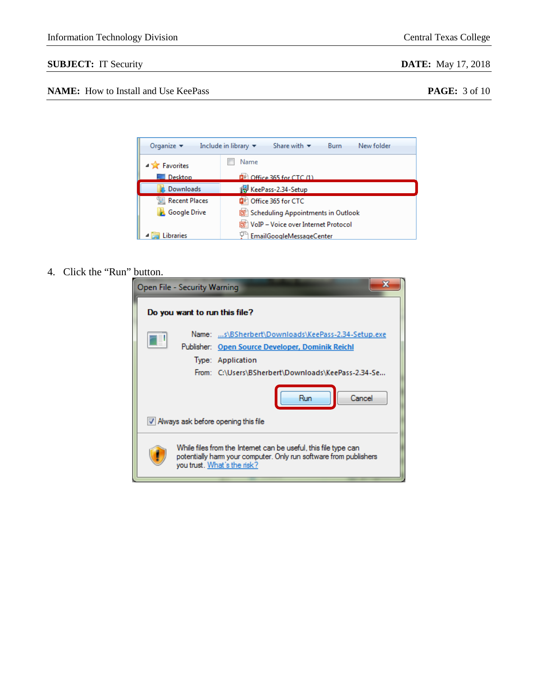# **SUBJECT:** IT Security **DATE:** May 17, 2018

# **NAME:** How to Install and Use KeePass **PAGE:** 3 of 10

| Organize $\blacktriangledown$ | Share with $\blacktriangledown$<br>New folder<br>Include in library $\blacktriangledown$<br><b>Burn</b> |
|-------------------------------|---------------------------------------------------------------------------------------------------------|
| <b>Favorites</b>              | Name                                                                                                    |
| Desktop                       | $\mathbb{R}$ Office 365 for CTC (1)                                                                     |
| Downloads                     | KeePass-2.34-Setup                                                                                      |
| 圖 Recent Places               | Office 365 for CTC                                                                                      |
| <b>Google Drive</b>           | Scheduling Appointments in Outlook                                                                      |
|                               | VoIP - Voice over Internet Protocol                                                                     |
| ibraries                      | EmailGoogleMessageCenter                                                                                |

# 4. Click the "Run" button.

| Open File - Security Warning                                                                                                                                                      |
|-----------------------------------------------------------------------------------------------------------------------------------------------------------------------------------|
| Do you want to run this file?                                                                                                                                                     |
| Name: s\BSherbert\Downloads\KeePass-2.34-Setup.exe<br>Publisher: Open Source Developer, Dominik Reichl<br>Type: Application<br>From: C:\Users\BSherbert\Downloads\KeePass-2.34-Se |
| Cancel<br>Run<br>V Always ask before opening this file                                                                                                                            |
| While files from the Internet can be useful, this file type can<br>potentially harm your computer. Only run software from publishers<br>you trust. What's the risk?               |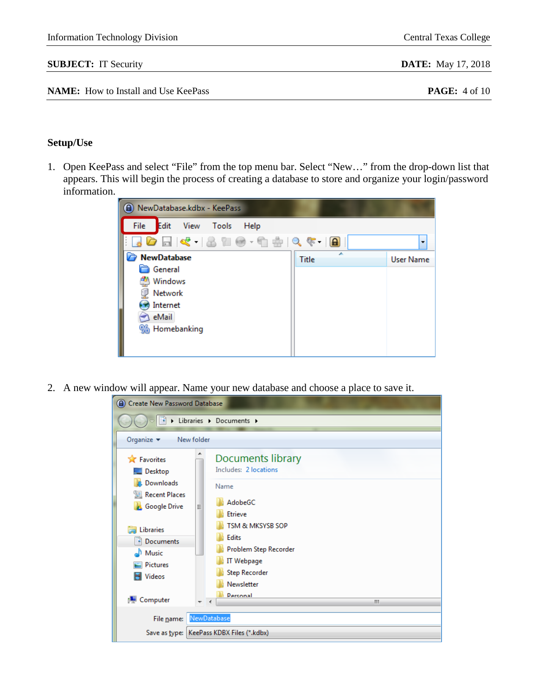Information Technology Division Central Texas College

# **Setup/Use**

1. Open KeePass and select "File" from the top menu bar. Select "New…" from the drop-down list that appears. This will begin the process of creating a database to store and organize your login/password information.



2. A new window will appear. Name your new database and choose a place to save it.

| A Create New Password Database                                      |                                                                                                                      |
|---------------------------------------------------------------------|----------------------------------------------------------------------------------------------------------------------|
|                                                                     | Libraries > Documents >                                                                                              |
| Organize v<br>New folder                                            |                                                                                                                      |
| <b>X</b> Favorites<br>Desktop                                       | Documents library<br>Includes: 2 locations                                                                           |
| Downloads<br>Recent Places<br><b>Google Drive</b><br>Ξ              | Name<br>AdobeGC<br>Etrieve                                                                                           |
| <b>Libraries</b><br>Documents<br>Music<br><b>Pictures</b><br>Videos | TSM & MKSYSB SOP<br><b>Edits</b><br>Problem Step Recorder<br><b>IT Webpage</b><br><b>Step Recorder</b><br>Newsletter |
| <b>I</b> Computer<br>┯                                              | <b>Personal</b><br>Ш                                                                                                 |
| File name:                                                          | NewDatabase                                                                                                          |
|                                                                     | Save as type:   KeePass KDBX Files (*.kdbx)                                                                          |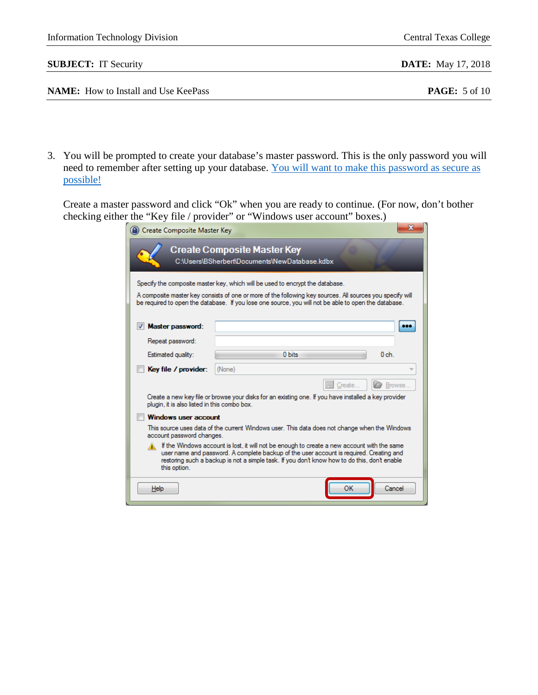|           | <b>NAME:</b> How to Install and Use KeePass                                                                                                                            |                                                                                                                                                                                                                                                                                                                                                                                                                                                                                                                                                         | <b>PAGE:</b> 5 of 10 |
|-----------|------------------------------------------------------------------------------------------------------------------------------------------------------------------------|---------------------------------------------------------------------------------------------------------------------------------------------------------------------------------------------------------------------------------------------------------------------------------------------------------------------------------------------------------------------------------------------------------------------------------------------------------------------------------------------------------------------------------------------------------|----------------------|
| possible! |                                                                                                                                                                        | 3. You will be prompted to create your database's master password. This is the only password you will<br>need to remember after setting up your database. You will want to make this password as secure as                                                                                                                                                                                                                                                                                                                                              |                      |
|           |                                                                                                                                                                        | Create a master password and click "Ok" when you are ready to continue. (For now, don't bother<br>checking either the "Key file / provider" or "Windows user account" boxes.)                                                                                                                                                                                                                                                                                                                                                                           |                      |
|           | Create Composite Master Key                                                                                                                                            | $\mathbf{x}$                                                                                                                                                                                                                                                                                                                                                                                                                                                                                                                                            |                      |
|           | Master password:                                                                                                                                                       | C:\Users\BSherbert\Documents\NewDatabase.kdbx<br>Specify the composite master key, which will be used to encrypt the database.<br>A composite master key consists of one or more of the following key sources. All sources you specify will<br>be required to open the database. If you lose one source, you will not be able to open the database.<br>                                                                                                                                                                                                 |                      |
|           | Repeat password:                                                                                                                                                       |                                                                                                                                                                                                                                                                                                                                                                                                                                                                                                                                                         |                      |
|           | Estimated quality:                                                                                                                                                     | 0 bits<br>0 <sub>ch</sub>                                                                                                                                                                                                                                                                                                                                                                                                                                                                                                                               |                      |
|           | Key file / provider:<br>plugin, it is also listed in this combo box.<br><b>Windows user account</b><br>account password changes.<br>this option.<br>$He$ <sub>lp</sub> | (None)<br>图 Create.<br><b>Browse</b><br>Create a new key file or browse your disks for an existing one. If you have installed a key provider<br>This source uses data of the current Windows user. This data does not change when the Windows<br>If the Windows account is lost, it will not be enough to create a new account with the same<br>user name and password. A complete backup of the user account is required. Creating and<br>restoring such a backup is not a simple task. If you don't know how to do this, don't enable<br>ок<br>Cancel |                      |

**SUBJECT:** IT Security **DATE:** May 17, 2018

Information Technology Division Central Texas College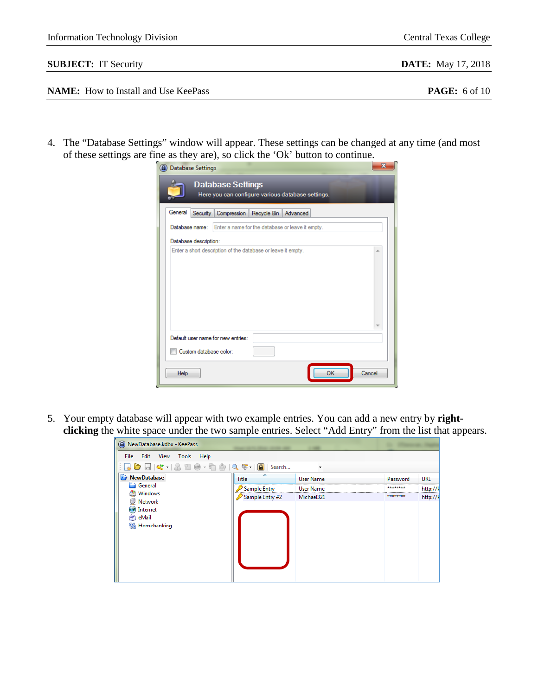| <b>Information Technology Division</b> | <b>Central Texas College</b> |
|----------------------------------------|------------------------------|
| <b>SUBJECT:</b> IT Security            | <b>DATE:</b> May 17, 2018    |
|                                        |                              |

| <b>NAME:</b> How to Install and Use KeePass |  |  |  |  |  |  |  |  |  |
|---------------------------------------------|--|--|--|--|--|--|--|--|--|
|---------------------------------------------|--|--|--|--|--|--|--|--|--|

4. The "Database Settings" window will appear. These settings can be changed at any time (and most of these settings are fine as they are), so click the 'Ok' button to continue.

| <b>A</b> Database Settings                                                    | $\overline{\mathbf{x}}$ |
|-------------------------------------------------------------------------------|-------------------------|
| <b>Database Settings</b><br>Here you can configure various database settings. |                         |
| General<br>Security  <br>Compression   Recycle Bin  <br>Advanced              |                         |
| Database name: Enter a name for the database or leave it empty.               |                         |
| Database description:                                                         |                         |
| Enter a short description of the database or leave it empty.                  | A                       |
| Default user name for new entries:                                            |                         |
| Custom database color:                                                        |                         |
| OK<br>Cancel<br>Help                                                          |                         |

5. Your empty database will appear with two example entries. You can add a new entry by **rightclicking** the white space under the two sample entries. Select "Add Entry" from the list that appears.

| A) NewDatabase.kdbx - KeePass |                 |                  |          |          |
|-------------------------------|-----------------|------------------|----------|----------|
| File Edit View Tools<br>Help  |                 |                  |          |          |
|                               |                 |                  |          |          |
| C<br><b>NewDatabase</b>       | <b>Title</b>    | <b>User Name</b> | Password | URL      |
| General                       | Sample Entry    | User Name        | ******** | http://k |
| Windows                       | Sample Entry #2 | Michael321       | ******** | http://k |
| Network                       |                 |                  |          |          |
| Internet<br>eMail             |                 |                  |          |          |
| % Homebanking                 |                 |                  |          |          |
|                               |                 |                  |          |          |
|                               |                 |                  |          |          |
|                               |                 |                  |          |          |
|                               |                 |                  |          |          |
|                               |                 |                  |          |          |
|                               |                 |                  |          |          |
|                               |                 |                  |          |          |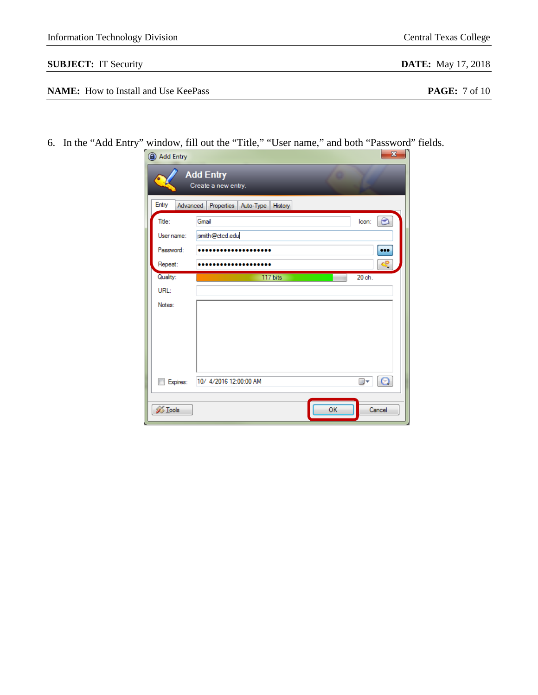| <b>Information Technology Division</b>      | <b>Central Texas College</b>    |
|---------------------------------------------|---------------------------------|
| <b>SUBJECT:</b> IT Security                 | <b>DATE:</b> May 17, 2018       |
| <b>NAME:</b> How to Install and Use KeePass | <b>PAGE:</b> $7 \text{ of } 10$ |

6. In the "Add Entry" window, fill out the "Title," "User name," and both "Password" fields.

| Add Entry      | <b>Add Entry</b><br>Create a new entry. | $\mathbf{x}$                      |
|----------------|-----------------------------------------|-----------------------------------|
| Entry          | Advanced Properties Auto-Type History   |                                   |
| Title:         | Gmail                                   | lcon:<br>$\overline{\phantom{a}}$ |
| User name:     | jsmith@ctcd.edu                         |                                   |
| Password:      |                                         |                                   |
| Repeat:        |                                         |                                   |
| Quality:       | 117 bits                                | 20 ch.                            |
| URL:           |                                         |                                   |
| Notes:         |                                         |                                   |
|                |                                         |                                   |
|                |                                         |                                   |
|                |                                         |                                   |
|                |                                         |                                   |
|                | 10/ 4/2016 12:00:00 AM                  |                                   |
| Expires:       |                                         | $\odot$<br>▥▾                     |
|                |                                         |                                   |
| <b>S</b> Tools | OK                                      | Cancel                            |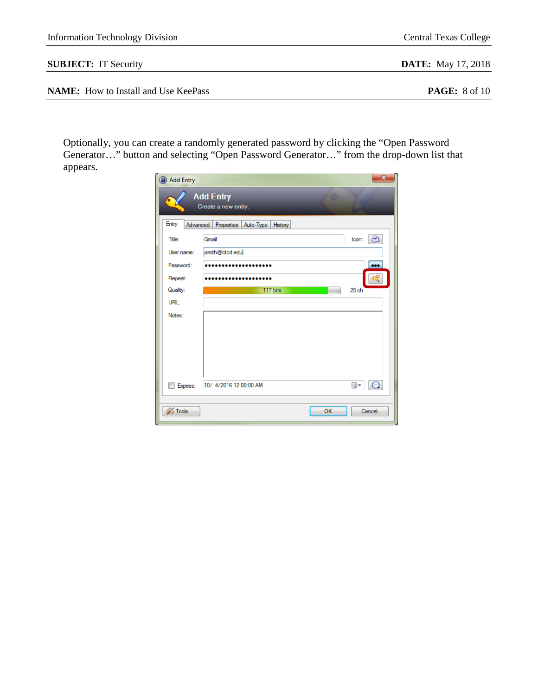| Information Technology Division | <b>Central Texas College</b> |
|---------------------------------|------------------------------|
| <b>SUBJECT:</b> IT Security     | <b>DATE:</b> May 17, 2018    |

**NAME:** How to Install and Use KeePass **PAGE:** 8 of 10

Optionally, you can create a randomly generated password by clicking the "Open Password Generator…" button and selecting "Open Password Generator…" from the drop-down list that appears.

| Add Entry      | $\overline{\mathbf{x}}$                      |
|----------------|----------------------------------------------|
|                | <b>Add Entry</b><br>Create a new entry.      |
| Entry          | Advanced   Properties   Auto-Type<br>History |
| Title:         | $\bm{\circ}$<br>lcon:<br>Gmail               |
| User name:     | jsmith@ctcd.edu                              |
| Password:      |                                              |
| Repeat:        |                                              |
| Quality:       | 117 bits<br>20 <sub>ch</sub>                 |
| URL:           |                                              |
| Notes:         |                                              |
| Expires:       | $\odot$<br>10/ 4/2016 12:00:00 AM<br>▦▾      |
| <b>X</b> Tools | OK<br>Cancel                                 |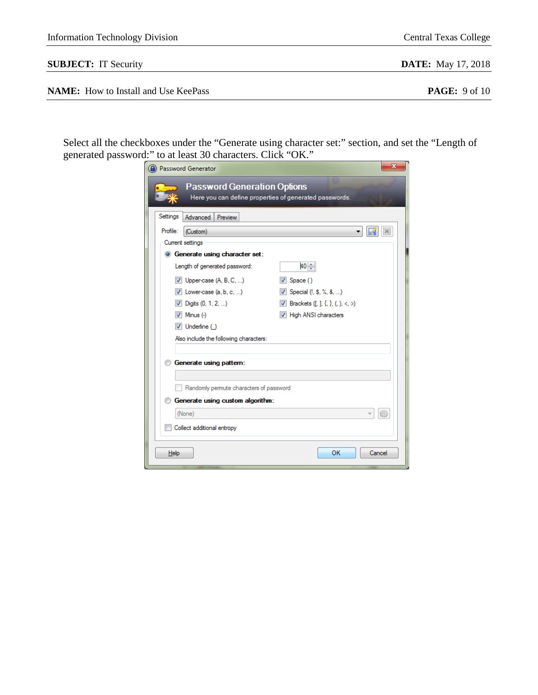| Settings<br>Advanced<br>Preview        |                                              |                                                                                                                                                                                                                                                                                                                                                   |
|----------------------------------------|----------------------------------------------|---------------------------------------------------------------------------------------------------------------------------------------------------------------------------------------------------------------------------------------------------------------------------------------------------------------------------------------------------|
| Profile:<br>(Custom)                   |                                              |                                                                                                                                                                                                                                                                                                                                                   |
| Current settings                       |                                              |                                                                                                                                                                                                                                                                                                                                                   |
| <b>O</b> Generate using character set: |                                              |                                                                                                                                                                                                                                                                                                                                                   |
| Length of generated password:          | 40⊫                                          |                                                                                                                                                                                                                                                                                                                                                   |
| $\vee$ Upper-case (A, B, C, )          | $\triangledown$ Space ()                     |                                                                                                                                                                                                                                                                                                                                                   |
| $\vee$ Lower-case (a, b, c, )          | $\triangledown$ Special (!, \$, %, &, )      |                                                                                                                                                                                                                                                                                                                                                   |
| $\triangledown$ Digits (0, 1, 2, )     | <b>V</b> Brackets $([,], \{, \}, (,), <, >)$ |                                                                                                                                                                                                                                                                                                                                                   |
| $\triangledown$ Minus (-)              | V High ANSI characters                       |                                                                                                                                                                                                                                                                                                                                                   |
| $\triangledown$ Underline ()           |                                              |                                                                                                                                                                                                                                                                                                                                                   |
|                                        |                                              |                                                                                                                                                                                                                                                                                                                                                   |
| Generate using pattern:                |                                              |                                                                                                                                                                                                                                                                                                                                                   |
|                                        |                                              |                                                                                                                                                                                                                                                                                                                                                   |
|                                        |                                              |                                                                                                                                                                                                                                                                                                                                                   |
|                                        |                                              |                                                                                                                                                                                                                                                                                                                                                   |
| (None)                                 |                                              |                                                                                                                                                                                                                                                                                                                                                   |
| Collect additional entropy             |                                              |                                                                                                                                                                                                                                                                                                                                                   |
|                                        | A) Password Generator                        | the checkboxes under the "Generate using character set:" section, a<br>password:" to at least 30 characters. Click "OK."<br><b>Password Generation Options</b><br>Here you can define properties of generated passwords.<br>Also include the following characters:<br>Randomly permute characters of password<br>Generate using custom algorithm: |

 $\underline{\mathsf{Help}}$ 

generated  $\mathbf{x}$ 

**SUBJECT:** IT Security **DATE:** May 17, 2018

| <b>NAME:</b> How to Install and Use KeePass |  |
|---------------------------------------------|--|
|---------------------------------------------|--|

Select all the checkboxes under the "Generate using character set:" section, and set the "Length of

**PAGE:** 9 of 10

 $\mathbb{X}$ 

 $\mathsf{OK}% \left( \mathcal{M}\right) \equiv\mathsf{OK} \left( \mathcal{M}\right)$ 

Cancel